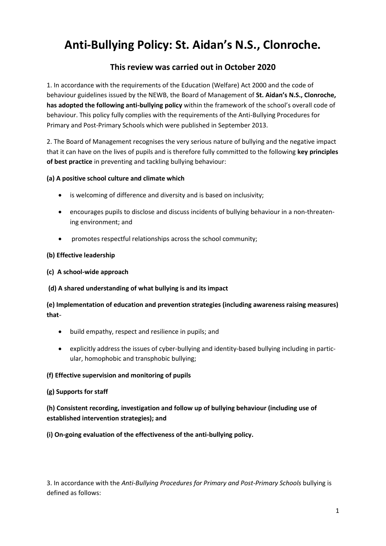# **Anti-Bullying Policy: St. Aidan's N.S., Clonroche.**

## **This review was carried out in October 2020**

1. In accordance with the requirements of the Education (Welfare) Act 2000 and the code of behaviour guidelines issued by the NEWB, the Board of Management of **St. Aidan's N.S., Clonroche, has adopted the following anti-bullying policy** within the framework of the school's overall code of behaviour. This policy fully complies with the requirements of the Anti-Bullying Procedures for Primary and Post-Primary Schools which were published in September 2013.

2. The Board of Management recognises the very serious nature of bullying and the negative impact that it can have on the lives of pupils and is therefore fully committed to the following **key principles of best practice** in preventing and tackling bullying behaviour:

## **(a) A positive school culture and climate which**

- is welcoming of difference and diversity and is based on inclusivity;
- encourages pupils to disclose and discuss incidents of bullying behaviour in a non-threatening environment; and
- promotes respectful relationships across the school community;

## **(b) Effective leadership**

## **(c) A school-wide approach**

### **(d) A shared understanding of what bullying is and its impact**

**(e) Implementation of education and prevention strategies (including awareness raising measures) that**-

- build empathy, respect and resilience in pupils; and
- explicitly address the issues of cyber-bullying and identity-based bullying including in particular, homophobic and transphobic bullying;

### **(f) Effective supervision and monitoring of pupils**

### **(g) Supports for staff**

**(h) Consistent recording, investigation and follow up of bullying behaviour (including use of established intervention strategies); and**

**(i) On-going evaluation of the effectiveness of the anti-bullying policy.**

3. In accordance with the *Anti-Bullying Procedures for Primary and Post-Primary Schools* bullying is defined as follows: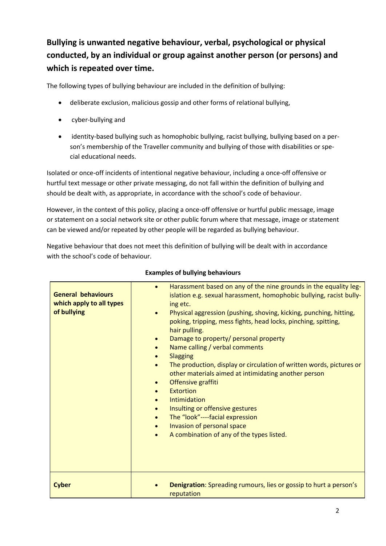## **Bullying is unwanted negative behaviour, verbal, psychological or physical conducted, by an individual or group against another person (or persons) and which is repeated over time.**

The following types of bullying behaviour are included in the definition of bullying:

- deliberate exclusion, malicious gossip and other forms of relational bullying,
- cyber-bullying and
- identity-based bullying such as homophobic bullying, racist bullying, bullying based on a person's membership of the Traveller community and bullying of those with disabilities or special educational needs.

Isolated or once-off incidents of intentional negative behaviour, including a once-off offensive or hurtful text message or other private messaging, do not fall within the definition of bullying and should be dealt with, as appropriate, in accordance with the school's code of behaviour.

However, in the context of this policy, placing a once-off offensive or hurtful public message, image or statement on a social network site or other public forum where that message, image or statement can be viewed and/or repeated by other people will be regarded as bullying behaviour.

Negative behaviour that does not meet this definition of bullying will be dealt with in accordance with the school's code of behaviour.

| <b>General behaviours</b><br>which apply to all types<br>of bullying | Harassment based on any of the nine grounds in the equality leg-<br>$\bullet$<br>islation e.g. sexual harassment, homophobic bullying, racist bully-<br>ing etc.<br>Physical aggression (pushing, shoving, kicking, punching, hitting,<br>$\bullet$<br>poking, tripping, mess fights, head locks, pinching, spitting,<br>hair pulling.<br>Damage to property/ personal property<br>$\bullet$<br>Name calling / verbal comments<br>$\bullet$<br><b>Slagging</b><br>$\bullet$<br>The production, display or circulation of written words, pictures or<br>$\bullet$<br>other materials aimed at intimidating another person<br>Offensive graffiti<br>$\bullet$<br><b>Extortion</b><br>$\bullet$<br>Intimidation<br>$\bullet$<br>Insulting or offensive gestures<br>$\bullet$<br>The "look"----facial expression<br>$\bullet$<br>Invasion of personal space<br>$\bullet$<br>A combination of any of the types listed.<br>$\bullet$ |
|----------------------------------------------------------------------|--------------------------------------------------------------------------------------------------------------------------------------------------------------------------------------------------------------------------------------------------------------------------------------------------------------------------------------------------------------------------------------------------------------------------------------------------------------------------------------------------------------------------------------------------------------------------------------------------------------------------------------------------------------------------------------------------------------------------------------------------------------------------------------------------------------------------------------------------------------------------------------------------------------------------------|
| <b>Cyber</b>                                                         | <b>Denigration:</b> Spreading rumours, lies or gossip to hurt a person's<br>reputation                                                                                                                                                                                                                                                                                                                                                                                                                                                                                                                                                                                                                                                                                                                                                                                                                                         |

## **Examples of bullying behaviours**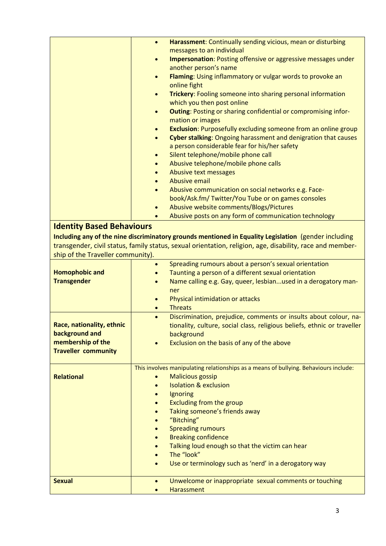|                                   | $\bullet$              | Harassment: Continually sending vicious, mean or disturbing                                                                                  |
|-----------------------------------|------------------------|----------------------------------------------------------------------------------------------------------------------------------------------|
|                                   |                        | messages to an individual                                                                                                                    |
|                                   | $\bullet$              | Impersonation: Posting offensive or aggressive messages under                                                                                |
|                                   |                        | another person's name                                                                                                                        |
|                                   | $\bullet$              | Flaming: Using inflammatory or vulgar words to provoke an<br>online fight                                                                    |
|                                   | $\bullet$              | Trickery: Fooling someone into sharing personal information                                                                                  |
|                                   |                        | which you then post online                                                                                                                   |
|                                   | $\bullet$              | <b>Outing: Posting or sharing confidential or compromising infor-</b>                                                                        |
|                                   |                        | mation or images                                                                                                                             |
|                                   |                        | Exclusion: Purposefully excluding someone from an online group                                                                               |
|                                   | $\bullet$              | Cyber stalking: Ongoing harassment and denigration that causes<br>a person considerable fear for his/her safety                              |
|                                   | $\bullet$              | Silent telephone/mobile phone call                                                                                                           |
|                                   |                        | Abusive telephone/mobile phone calls                                                                                                         |
|                                   |                        | Abusive text messages                                                                                                                        |
|                                   |                        | Abusive email                                                                                                                                |
|                                   | $\bullet$              | Abusive communication on social networks e.g. Face-                                                                                          |
|                                   |                        | book/Ask.fm/ Twitter/You Tube or on games consoles                                                                                           |
|                                   | $\bullet$              | Abusive website comments/Blogs/Pictures                                                                                                      |
|                                   |                        | Abusive posts on any form of communication technology                                                                                        |
| <b>Identity Based Behaviours</b>  |                        |                                                                                                                                              |
|                                   |                        | Including any of the nine discriminatory grounds mentioned in Equality Legislation (gender including                                         |
|                                   |                        | transgender, civil status, family status, sexual orientation, religion, age, disability, race and member-                                    |
| ship of the Traveller community). |                        |                                                                                                                                              |
|                                   | $\bullet$              | Spreading rumours about a person's sexual orientation                                                                                        |
| <b>Homophobic and</b>             |                        | Taunting a person of a different sexual orientation                                                                                          |
| <b>Transgender</b>                |                        | Name calling e.g. Gay, queer, lesbianused in a derogatory man-                                                                               |
|                                   |                        | ner                                                                                                                                          |
|                                   |                        | Physical intimidation or attacks                                                                                                             |
|                                   | $\bullet$              | <b>Threats</b>                                                                                                                               |
| Race, nationality, ethnic         | $\bullet$              | Discrimination, prejudice, comments or insults about colour, na-<br>tionality, culture, social class, religious beliefs, ethnic or traveller |
| background and                    |                        | background                                                                                                                                   |
| membership of the                 |                        | Exclusion on the basis of any of the above                                                                                                   |
| <b>Traveller community</b>        |                        |                                                                                                                                              |
|                                   |                        |                                                                                                                                              |
|                                   |                        | This involves manipulating relationships as a means of bullying. Behaviours include:                                                         |
| <b>Relational</b>                 |                        | <b>Malicious gossip</b>                                                                                                                      |
|                                   |                        | <b>Isolation &amp; exclusion</b>                                                                                                             |
|                                   | $\bullet$              | Ignoring                                                                                                                                     |
|                                   | $\bullet$              | <b>Excluding from the group</b>                                                                                                              |
|                                   | $\bullet$              | Taking someone's friends away                                                                                                                |
|                                   |                        | "Bitching"                                                                                                                                   |
|                                   | $\bullet$              | <b>Spreading rumours</b><br><b>Breaking confidence</b>                                                                                       |
|                                   | $\bullet$<br>$\bullet$ | Talking loud enough so that the victim can hear                                                                                              |
|                                   |                        | The "look"                                                                                                                                   |
|                                   |                        | Use or terminology such as 'nerd' in a derogatory way                                                                                        |
|                                   |                        |                                                                                                                                              |
| <b>Sexual</b>                     | $\bullet$              | Unwelcome or inappropriate sexual comments or touching                                                                                       |
|                                   |                        | Harassment                                                                                                                                   |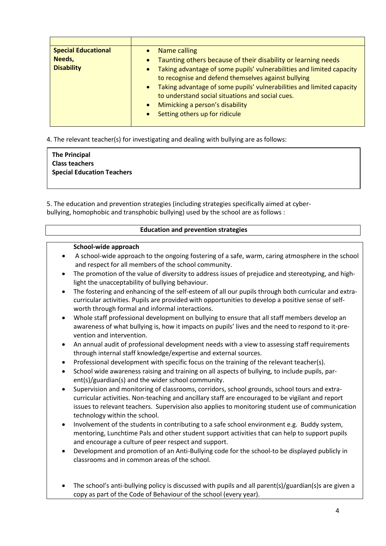| <b>Special Educational</b> | Name calling                                                               |
|----------------------------|----------------------------------------------------------------------------|
| Needs,                     | Taunting others because of their disability or learning needs<br>$\bullet$ |
| <b>Disability</b>          | • Taking advantage of some pupils' vulnerabilities and limited capacity    |
|                            | to recognise and defend themselves against bullying                        |
|                            | • Taking advantage of some pupils' vulnerabilities and limited capacity    |
|                            | to understand social situations and social cues.                           |
|                            | Mimicking a person's disability<br>$\bullet$                               |
|                            | Setting others up for ridicule<br>$\bullet$                                |
|                            |                                                                            |

4. The relevant teacher(s) for investigating and dealing with bullying are as follows:

## **The Principal Class teachers Special Education Teachers**

5. The education and prevention strategies (including strategies specifically aimed at cyberbullying, homophobic and transphobic bullying) used by the school are as follows :

|                | <b>Education and prevention strategies</b>                                                                                                                                                                                                                                                                                            |
|----------------|---------------------------------------------------------------------------------------------------------------------------------------------------------------------------------------------------------------------------------------------------------------------------------------------------------------------------------------|
|                | School-wide approach                                                                                                                                                                                                                                                                                                                  |
| ٠              | A school-wide approach to the ongoing fostering of a safe, warm, caring atmosphere in the school<br>and respect for all members of the school community.                                                                                                                                                                              |
| $\bullet$      | The promotion of the value of diversity to address issues of prejudice and stereotyping, and high-<br>light the unacceptability of bullying behaviour.                                                                                                                                                                                |
| $\bullet$      | The fostering and enhancing of the self-esteem of all our pupils through both curricular and extra-<br>curricular activities. Pupils are provided with opportunities to develop a positive sense of self-<br>worth through formal and informal interactions.                                                                          |
| $\bullet$      | Whole staff professional development on bullying to ensure that all staff members develop an<br>awareness of what bullying is, how it impacts on pupils' lives and the need to respond to it-pre-<br>vention and intervention.                                                                                                        |
| ٠              | An annual audit of professional development needs with a view to assessing staff requirements<br>through internal staff knowledge/expertise and external sources.                                                                                                                                                                     |
| ٠<br>$\bullet$ | Professional development with specific focus on the training of the relevant teacher(s).<br>School wide awareness raising and training on all aspects of bullying, to include pupils, par-<br>ent(s)/guardian(s) and the wider school community.                                                                                      |
| $\bullet$      | Supervision and monitoring of classrooms, corridors, school grounds, school tours and extra-<br>curricular activities. Non-teaching and ancillary staff are encouraged to be vigilant and report<br>issues to relevant teachers. Supervision also applies to monitoring student use of communication<br>technology within the school. |
| $\bullet$      | Involvement of the students in contributing to a safe school environment e.g. Buddy system,<br>mentoring, Lunchtime Pals and other student support activities that can help to support pupils<br>and encourage a culture of peer respect and support.                                                                                 |
|                | Development and promotion of an Anti-Bullying code for the school-to be displayed publicly in<br>classrooms and in common areas of the school.                                                                                                                                                                                        |
|                | The school's anti-bullying policy is discussed with pupils and all parent(s)/guardian(s)s are given a<br>copy as part of the Code of Behaviour of the school (every year).                                                                                                                                                            |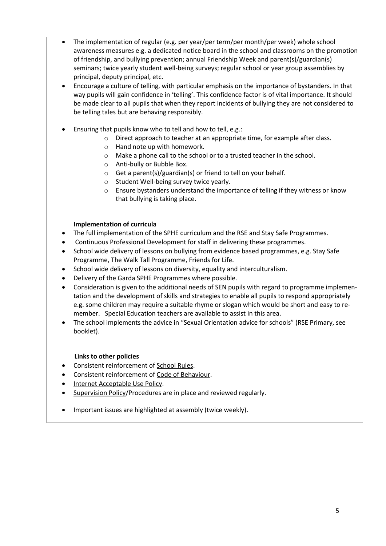- The implementation of regular (e.g. per year/per term/per month/per week) whole school awareness measures e.g. a dedicated notice board in the school and classrooms on the promotion of friendship, and bullying prevention; annual Friendship Week and parent(s)/guardian(s) seminars; twice yearly student well-being surveys; regular school or year group assemblies by principal, deputy principal, etc.
- Encourage a culture of telling, with particular emphasis on the importance of bystanders. In that way pupils will gain confidence in 'telling'. This confidence factor is of vital importance. It should be made clear to all pupils that when they report incidents of bullying they are not considered to be telling tales but are behaving responsibly.
- Ensuring that pupils know who to tell and how to tell, e.g.:
	- o Direct approach to teacher at an appropriate time, for example after class.
	- o Hand note up with homework.
	- o Make a phone call to the school or to a trusted teacher in the school.
	- o Anti-bully or Bubble Box.
	- $\circ$  Get a parent(s)/guardian(s) or friend to tell on your behalf.
	- o Student Well-being survey twice yearly.
	- o Ensure bystanders understand the importance of telling if they witness or know that bullying is taking place.

#### **Implementation of curricula**

- The full implementation of the SPHE curriculum and the RSE and Stay Safe Programmes.
- Continuous Professional Development for staff in delivering these programmes.
- School wide delivery of lessons on bullying from evidence based programmes, e.g. Stay Safe Programme, The Walk Tall Programme, Friends for Life.
- School wide delivery of lessons on diversity, equality and interculturalism.
- Delivery of the Garda SPHE Programmes where possible.
- Consideration is given to the additional needs of SEN pupils with regard to programme implementation and the development of skills and strategies to enable all pupils to respond appropriately e.g. some children may require a suitable rhyme or slogan which would be short and easy to remember. Special Education teachers are available to assist in this area.
- The school implements the advice in "Sexual Orientation advice for schools" (RSE Primary, see booklet).

### **Links to other policies**

- Consistent reinforcement of School Rules.
- Consistent reinforcement of Code of Behaviour.
- Internet Acceptable Use Policy.
- Supervision Policy/Procedures are in place and reviewed regularly.
- Important issues are highlighted at assembly (twice weekly).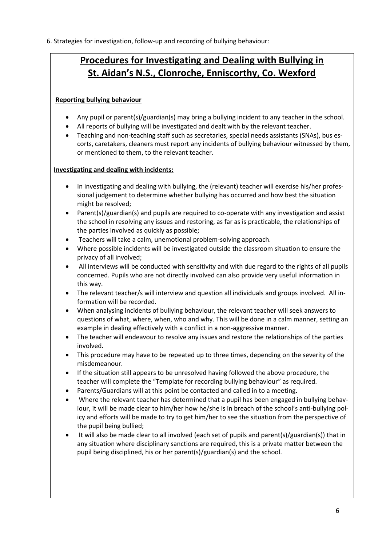6. Strategies for investigation, follow-up and recording of bullying behaviour:

## **Procedures for Investigating and Dealing with Bullying in St. Aidan's N.S., Clonroche, Enniscorthy, Co. Wexford**

## **Reporting bullying behaviour**

- Any pupil or parent(s)/guardian(s) may bring a bullying incident to any teacher in the school.
- All reports of bullying will be investigated and dealt with by the relevant teacher.
- Teaching and non-teaching staff such as secretaries, special needs assistants (SNAs), bus escorts, caretakers, cleaners must report any incidents of bullying behaviour witnessed by them, or mentioned to them, to the relevant teacher.

## **Investigating and dealing with incidents:**

- In investigating and dealing with bullying, the (relevant) teacher will exercise his/her professional judgement to determine whether bullying has occurred and how best the situation might be resolved;
- Parent(s)/guardian(s) and pupils are required to co-operate with any investigation and assist the school in resolving any issues and restoring, as far as is practicable, the relationships of the parties involved as quickly as possible;
- Teachers will take a calm, unemotional problem-solving approach.
- Where possible incidents will be investigated outside the classroom situation to ensure the privacy of all involved;
- All interviews will be conducted with sensitivity and with due regard to the rights of all pupils concerned. Pupils who are not directly involved can also provide very useful information in this way.
- The relevant teacher/s will interview and question all individuals and groups involved. All information will be recorded.
- When analysing incidents of bullying behaviour, the relevant teacher will seek answers to questions of what, where, when, who and why. This will be done in a calm manner, setting an example in dealing effectively with a conflict in a non-aggressive manner.
- The teacher will endeavour to resolve any issues and restore the relationships of the parties involved.
- This procedure may have to be repeated up to three times, depending on the severity of the misdemeanour.
- If the situation still appears to be unresolved having followed the above procedure, the teacher will complete the "Template for recording bullying behaviour" as required.
- Parents/Guardians will at this point be contacted and called in to a meeting.
- Where the relevant teacher has determined that a pupil has been engaged in bullying behaviour, it will be made clear to him/her how he/she is in breach of the school's anti-bullying policy and efforts will be made to try to get him/her to see the situation from the perspective of the pupil being bullied;
- It will also be made clear to all involved (each set of pupils and parent(s)/guardian(s)) that in any situation where disciplinary sanctions are required, this is a private matter between the pupil being disciplined, his or her parent(s)/guardian(s) and the school.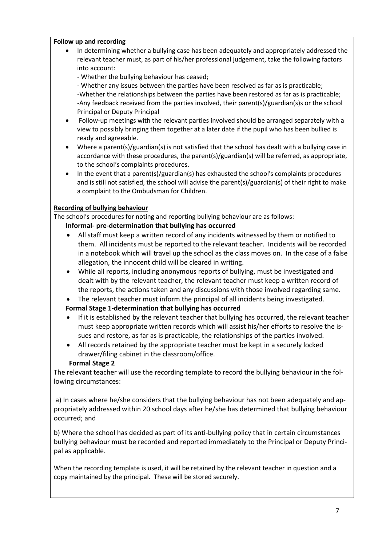### **Follow up and recording**

 In determining whether a bullying case has been adequately and appropriately addressed the relevant teacher must, as part of his/her professional judgement, take the following factors into account:

- Whether the bullying behaviour has ceased;

- Whether any issues between the parties have been resolved as far as is practicable; -Whether the relationships between the parties have been restored as far as is practicable; -Any feedback received from the parties involved, their parent(s)/guardian(s)s or the school Principal or Deputy Principal

- Follow-up meetings with the relevant parties involved should be arranged separately with a view to possibly bringing them together at a later date if the pupil who has been bullied is ready and agreeable.
- Where a parent(s)/guardian(s) is not satisfied that the school has dealt with a bullying case in accordance with these procedures, the parent(s)/guardian(s) will be referred, as appropriate, to the school's complaints procedures.
- In the event that a parent(s)/guardian(s) has exhausted the school's complaints procedures and is still not satisfied, the school will advise the parent(s)/guardian(s) of their right to make a complaint to the Ombudsman for Children.

### **Recording of bullying behaviour**

The school's procedures for noting and reporting bullying behaviour are as follows:

 **Informal- pre-determination that bullying has occurred**

- All staff must keep a written record of any incidents witnessed by them or notified to them. All incidents must be reported to the relevant teacher. Incidents will be recorded in a notebook which will travel up the school as the class moves on. In the case of a false allegation, the innocent child will be cleared in writing.
- While all reports, including anonymous reports of bullying, must be investigated and dealt with by the relevant teacher, the relevant teacher must keep a written record of the reports, the actions taken and any discussions with those involved regarding same.
- The relevant teacher must inform the principal of all incidents being investigated.

## **Formal Stage 1-determination that bullying has occurred**

- If it is established by the relevant teacher that bullying has occurred, the relevant teacher must keep appropriate written records which will assist his/her efforts to resolve the issues and restore, as far as is practicable, the relationships of the parties involved.
- All records retained by the appropriate teacher must be kept in a securely locked drawer/filing cabinet in the classroom/office.

### **Formal Stage 2**

The relevant teacher will use the recording template to record the bullying behaviour in the following circumstances:

a) In cases where he/she considers that the bullying behaviour has not been adequately and appropriately addressed within 20 school days after he/she has determined that bullying behaviour occurred; and

b) Where the school has decided as part of its anti-bullying policy that in certain circumstances bullying behaviour must be recorded and reported immediately to the Principal or Deputy Principal as applicable.

When the recording template is used, it will be retained by the relevant teacher in question and a copy maintained by the principal. These will be stored securely.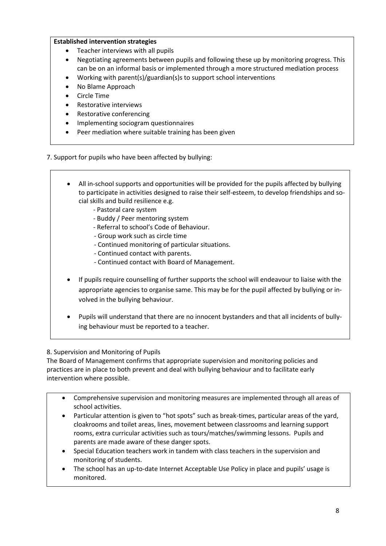### **Established intervention strategies**

- Teacher interviews with all pupils
- Negotiating agreements between pupils and following these up by monitoring progress. This can be on an informal basis or implemented through a more structured mediation process
- Working with parent(s)/guardian(s)s to support school interventions
- No Blame Approach
- Circle Time
- Restorative interviews
- Restorative conferencing
- Implementing sociogram questionnaires
- Peer mediation where suitable training has been given

7. Support for pupils who have been affected by bullying:

- All in-school supports and opportunities will be provided for the pupils affected by bullying to participate in activities designed to raise their self-esteem, to develop friendships and social skills and build resilience e.g.
	- Pastoral care system
	- Buddy / Peer mentoring system
	- Referral to school's Code of Behaviour.
	- Group work such as circle time
	- Continued monitoring of particular situations.
	- Continued contact with parents.
	- Continued contact with Board of Management.
- If pupils require counselling of further supports the school will endeavour to liaise with the appropriate agencies to organise same. This may be for the pupil affected by bullying or involved in the bullying behaviour.
- Pupils will understand that there are no innocent bystanders and that all incidents of bullying behaviour must be reported to a teacher.

8. Supervision and Monitoring of Pupils

The Board of Management confirms that appropriate supervision and monitoring policies and practices are in place to both prevent and deal with bullying behaviour and to facilitate early intervention where possible.

- Comprehensive supervision and monitoring measures are implemented through all areas of school activities.
- Particular attention is given to "hot spots" such as break-times, particular areas of the yard, cloakrooms and toilet areas, lines, movement between classrooms and learning support rooms, extra curricular activities such as tours/matches/swimming lessons. Pupils and parents are made aware of these danger spots.
- Special Education teachers work in tandem with class teachers in the supervision and monitoring of students.
- The school has an up-to-date Internet Acceptable Use Policy in place and pupils' usage is monitored.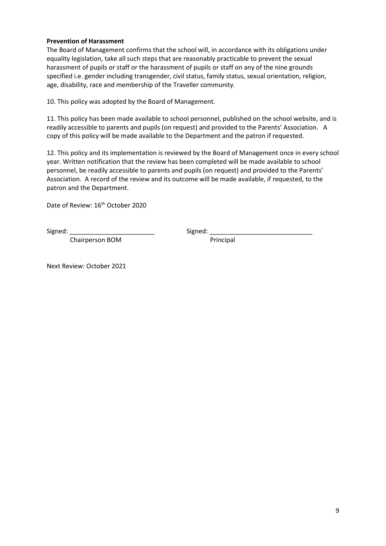#### **Prevention of Harassment**

The Board of Management confirms that the school will, in accordance with its obligations under equality legislation, take all such steps that are reasonably practicable to prevent the sexual harassment of pupils or staff or the harassment of pupils or staff on any of the nine grounds specified i.e. gender including transgender, civil status, family status, sexual orientation, religion, age, disability, race and membership of the Traveller community.

10. This policy was adopted by the Board of Management.

11. This policy has been made available to school personnel, published on the school website, and is readily accessible to parents and pupils (on request) and provided to the Parents' Association. A copy of this policy will be made available to the Department and the patron if requested.

12. This policy and its implementation is reviewed by the Board of Management once in every school year. Written notification that the review has been completed will be made available to school personnel, be readily accessible to parents and pupils (on request) and provided to the Parents' Association. A record of the review and its outcome will be made available, if requested, to the patron and the Department.

Date of Review: 16<sup>th</sup> October 2020

Chairperson BOM Principal

Signed: \_\_\_\_\_\_\_\_\_\_\_\_\_\_\_\_\_\_\_\_\_\_\_\_ Signed: \_\_\_\_\_\_\_\_\_\_\_\_\_\_\_\_\_\_\_\_\_\_\_\_\_\_\_\_\_

Next Review: October 2021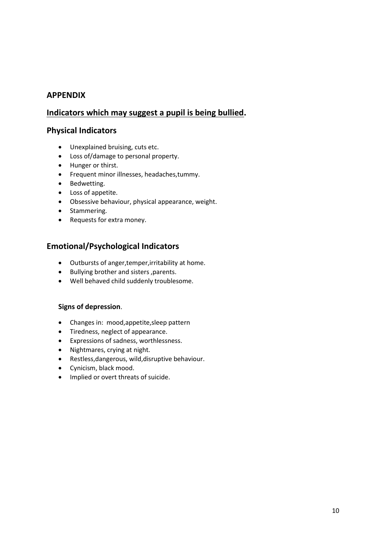## **APPENDIX**

## **Indicators which may suggest a pupil is being bullied.**

## **Physical Indicators**

- Unexplained bruising, cuts etc.
- Loss of/damage to personal property.
- Hunger or thirst.
- Frequent minor illnesses, headaches,tummy.
- Bedwetting.
- Loss of appetite.
- Obsessive behaviour, physical appearance, weight.
- Stammering.
- Requests for extra money.

## **Emotional/Psychological Indicators**

- Outbursts of anger,temper,irritability at home.
- **•** Bullying brother and sisters , parents.
- Well behaved child suddenly troublesome.

### **Signs of depression**.

- Changes in: mood,appetite,sleep pattern
- Tiredness, neglect of appearance.
- Expressions of sadness, worthlessness.
- Nightmares, crying at night.
- Restless,dangerous, wild,disruptive behaviour.
- Cynicism, black mood.
- Implied or overt threats of suicide.